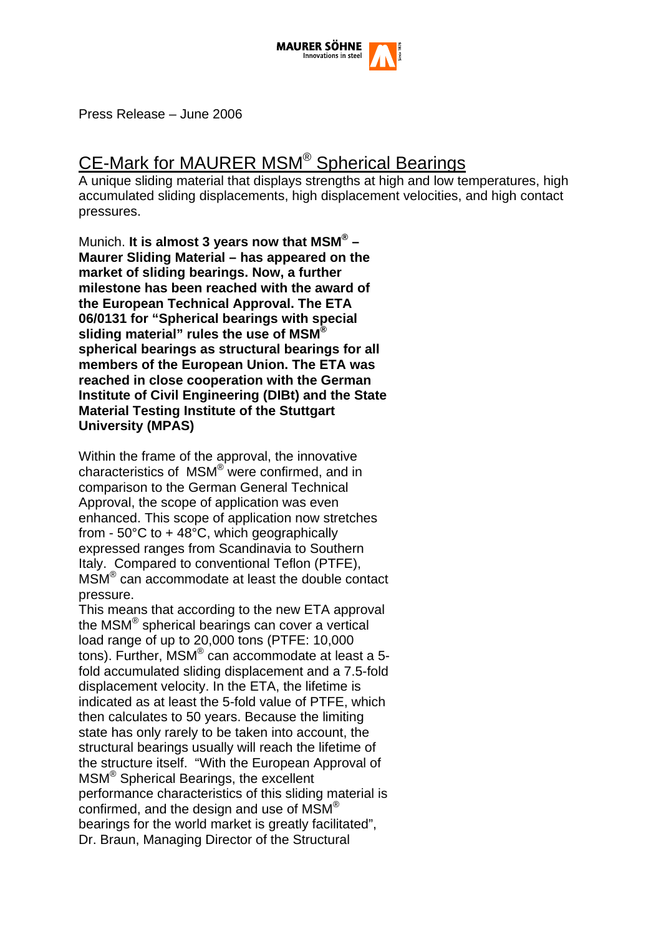

Press Release – June 2006

# CE-Mark for MAURER MSM® Spherical Bearings

A unique sliding material that displays strengths at high and low temperatures, high accumulated sliding displacements, high displacement velocities, and high contact pressures.

Munich. **It is almost 3 years now that MSM® – Maurer Sliding Material – has appeared on the market of sliding bearings. Now, a further milestone has been reached with the award of the European Technical Approval. The ETA 06/0131 for "Spherical bearings with special sliding material" rules the use of MSM® spherical bearings as structural bearings for all members of the European Union. The ETA was reached in close cooperation with the German Institute of Civil Engineering (DIBt) and the State Material Testing Institute of the Stuttgart University (MPAS)** 

Within the frame of the approval, the innovative characteristics of MSM® were confirmed, and in comparison to the German General Technical Approval, the scope of application was even enhanced. This scope of application now stretches from  $-50^{\circ}$ C to  $+48^{\circ}$ C, which geographically expressed ranges from Scandinavia to Southern Italy. Compared to conventional Teflon (PTFE), MSM® can accommodate at least the double contact pressure.

This means that according to the new ETA approval the MSM® spherical bearings can cover a vertical load range of up to 20,000 tons (PTFE: 10,000 tons). Further, MSM® can accommodate at least a 5 fold accumulated sliding displacement and a 7.5-fold displacement velocity. In the ETA, the lifetime is indicated as at least the 5-fold value of PTFE, which then calculates to 50 years. Because the limiting state has only rarely to be taken into account, the structural bearings usually will reach the lifetime of the structure itself. "With the European Approval of MSM® Spherical Bearings, the excellent performance characteristics of this sliding material is confirmed, and the design and use of MSM® bearings for the world market is greatly facilitated", Dr. Braun, Managing Director of the Structural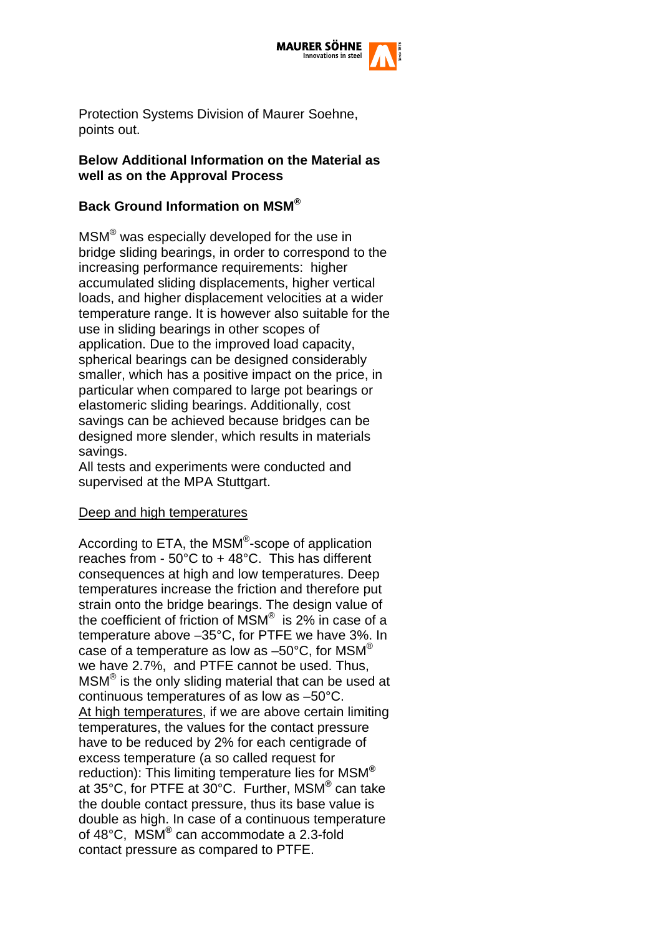

Protection Systems Division of Maurer Soehne, points out.

#### **Below Additional Information on the Material as well as on the Approval Process**

## **Back Ground Information on MSM®**

MSM® was especially developed for the use in bridge sliding bearings, in order to correspond to the increasing performance requirements: higher accumulated sliding displacements, higher vertical loads, and higher displacement velocities at a wider temperature range. It is however also suitable for the use in sliding bearings in other scopes of application. Due to the improved load capacity, spherical bearings can be designed considerably smaller, which has a positive impact on the price, in particular when compared to large pot bearings or elastomeric sliding bearings. Additionally, cost savings can be achieved because bridges can be designed more slender, which results in materials savings.

All tests and experiments were conducted and supervised at the MPA Stuttgart.

#### Deep and high temperatures

According to ETA, the MSM®-scope of application reaches from -  $50^{\circ}$ C to + 48 $^{\circ}$ C. This has different consequences at high and low temperatures. Deep temperatures increase the friction and therefore put strain onto the bridge bearings. The design value of the coefficient of friction of MSM® is 2% in case of a temperature above –35°C, for PTFE we have 3%. In case of a temperature as low as  $-50^{\circ}$ C, for MSM<sup>®</sup> we have 2.7%, and PTFE cannot be used. Thus, MSM® is the only sliding material that can be used at continuous temperatures of as low as –50°C. At high temperatures, if we are above certain limiting temperatures, the values for the contact pressure have to be reduced by 2% for each centigrade of excess temperature (a so called request for reduction): This limiting temperature lies for MSM**®** at 35°C, for PTFE at 30°C. Further, MSM**®** can take the double contact pressure, thus its base value is double as high. In case of a continuous temperature of 48°C, MSM**®** can accommodate a 2.3-fold contact pressure as compared to PTFE.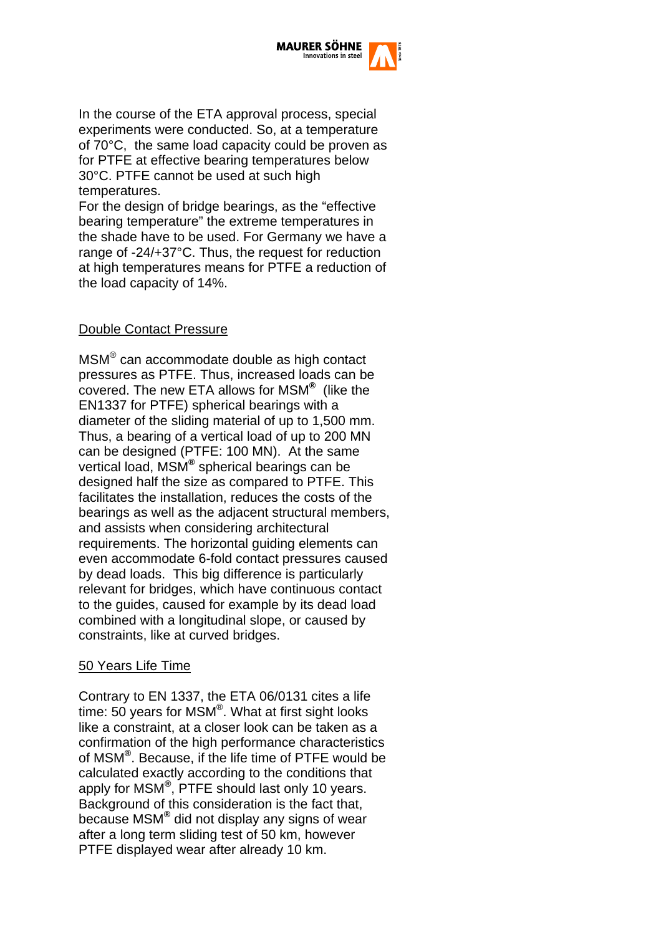

In the course of the ETA approval process, special experiments were conducted. So, at a temperature of 70°C, the same load capacity could be proven as for PTFE at effective bearing temperatures below 30°C. PTFE cannot be used at such high temperatures.

For the design of bridge bearings, as the "effective bearing temperature" the extreme temperatures in the shade have to be used. For Germany we have a range of -24/+37°C. Thus, the request for reduction at high temperatures means for PTFE a reduction of the load capacity of 14%.

#### Double Contact Pressure

MSM® can accommodate double as high contact pressures as PTFE. Thus, increased loads can be covered. The new ETA allows for MSM**®** (like the EN1337 for PTFE) spherical bearings with a diameter of the sliding material of up to 1,500 mm. Thus, a bearing of a vertical load of up to 200 MN can be designed (PTFE: 100 MN). At the same vertical load, MSM**®** spherical bearings can be designed half the size as compared to PTFE. This facilitates the installation, reduces the costs of the bearings as well as the adjacent structural members, and assists when considering architectural requirements. The horizontal guiding elements can even accommodate 6-fold contact pressures caused by dead loads. This big difference is particularly relevant for bridges, which have continuous contact to the guides, caused for example by its dead load combined with a longitudinal slope, or caused by constraints, like at curved bridges.

#### 50 Years Life Time

Contrary to EN 1337, the ETA 06/0131 cites a life time: 50 years for MSM®. What at first sight looks like a constraint, at a closer look can be taken as a confirmation of the high performance characteristics of MSM**®**. Because, if the life time of PTFE would be calculated exactly according to the conditions that apply for MSM**®**, PTFE should last only 10 years. Background of this consideration is the fact that, because MSM**®** did not display any signs of wear after a long term sliding test of 50 km, however PTFE displayed wear after already 10 km.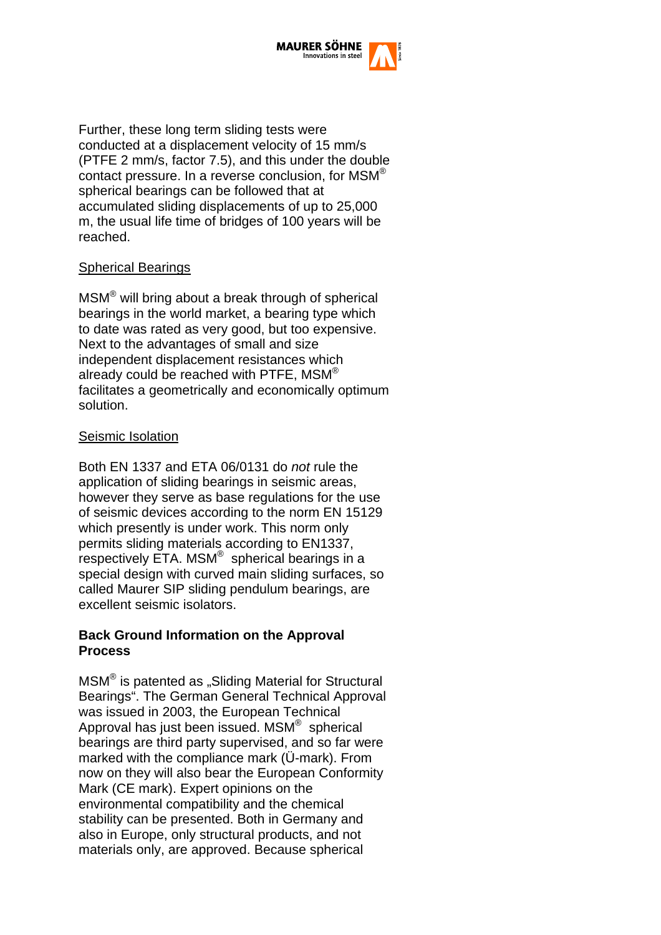

Further, these long term sliding tests were conducted at a displacement velocity of 15 mm/s (PTFE 2 mm/s, factor 7.5), and this under the double contact pressure. In a reverse conclusion, for MSM® spherical bearings can be followed that at accumulated sliding displacements of up to 25,000 m, the usual life time of bridges of 100 years will be reached.

## Spherical Bearings

MSM® will bring about a break through of spherical bearings in the world market, a bearing type which to date was rated as very good, but too expensive. Next to the advantages of small and size independent displacement resistances which already could be reached with PTFE, MSM<sup>®</sup> facilitates a geometrically and economically optimum solution.

## Seismic Isolation

Both EN 1337 and ETA 06/0131 do *not* rule the application of sliding bearings in seismic areas, however they serve as base regulations for the use of seismic devices according to the norm EN 15129 which presently is under work. This norm only permits sliding materials according to EN1337, respectively ETA. MSM® spherical bearings in a special design with curved main sliding surfaces, so called Maurer SIP sliding pendulum bearings, are excellent seismic isolators.

#### **Back Ground Information on the Approval Process**

MSM<sup>®</sup> is patented as "Sliding Material for Structural Bearings". The German General Technical Approval was issued in 2003, the European Technical Approval has just been issued. MSM® spherical bearings are third party supervised, and so far were marked with the compliance mark (Ü-mark). From now on they will also bear the European Conformity Mark (CE mark). Expert opinions on the environmental compatibility and the chemical stability can be presented. Both in Germany and also in Europe, only structural products, and not materials only, are approved. Because spherical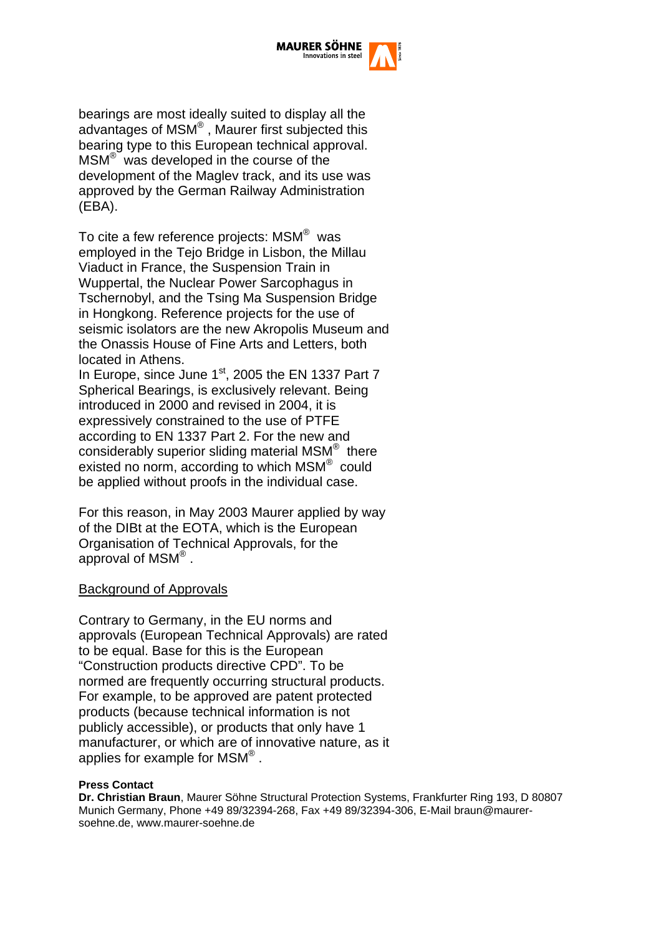

bearings are most ideally suited to display all the advantages of MSM® , Maurer first subjected this bearing type to this European technical approval. MSM® was developed in the course of the development of the Maglev track, and its use was approved by the German Railway Administration (EBA).

To cite a few reference projects: MSM® was employed in the Tejo Bridge in Lisbon, the Millau Viaduct in France, the Suspension Train in Wuppertal, the Nuclear Power Sarcophagus in Tschernobyl, and the Tsing Ma Suspension Bridge in Hongkong. Reference projects for the use of seismic isolators are the new Akropolis Museum and the Onassis House of Fine Arts and Letters, both located in Athens.

In Europe, since June  $1<sup>st</sup>$ , 2005 the EN 1337 Part 7 Spherical Bearings, is exclusively relevant. Being introduced in 2000 and revised in 2004, it is expressively constrained to the use of PTFE according to EN 1337 Part 2. For the new and considerably superior sliding material MSM® there existed no norm, according to which MSM® could be applied without proofs in the individual case.

For this reason, in May 2003 Maurer applied by way of the DIBt at the EOTA, which is the European Organisation of Technical Approvals, for the approval of  $MSM^{\circledR}$ .

#### Background of Approvals

Contrary to Germany, in the EU norms and approvals (European Technical Approvals) are rated to be equal. Base for this is the European "Construction products directive CPD". To be normed are frequently occurring structural products. For example, to be approved are patent protected products (because technical information is not publicly accessible), or products that only have 1 manufacturer, or which are of innovative nature, as it applies for example for MSM® .

#### **Press Contact**

**Dr. Christian Braun**, Maurer Söhne Structural Protection Systems, Frankfurter Ring 193, D 80807 Munich Germany, Phone +49 89/32394-268, Fax +49 89/32394-306, E-Mail braun@maurersoehne.de, www.maurer-soehne.de